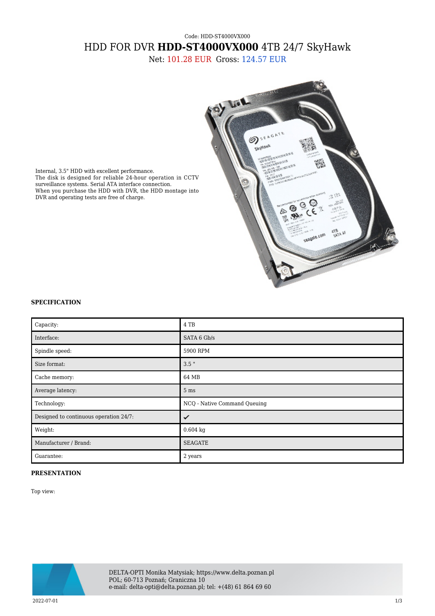## Code: HDD-ST4000VX000 HDD FOR DVR **HDD-ST4000VX000** 4TB 24/7 SkyHawk

Net: 101.28 EUR Gross: 124.57 EUR



Internal, 3.5" HDD with excellent performance. The disk is designed for reliable 24-hour operation in CCTV surveillance systems. Serial ATA interface connection. When you purchase the HDD with DVR, the HDD montage into DVR and operating tests are free of charge.

## **SPECIFICATION**

| Capacity:                              | 4 TB                         |
|----------------------------------------|------------------------------|
| Interface:                             | SATA 6 Gb/s                  |
| Spindle speed:                         | 5900 RPM                     |
| Size format:                           | $3.5$ "                      |
| Cache memory:                          | 64 MB                        |
| Average latency:                       | 5 <sub>ms</sub>              |
| Technology:                            | NCQ - Native Command Queuing |
| Designed to continuous operation 24/7: | ✓                            |
| Weight:                                | $0.604$ kg                   |
| Manufacturer / Brand:                  | <b>SEAGATE</b>               |
| Guarantee:                             | 2 years                      |

## **PRESENTATION**

Top view:



DELTA-OPTI Monika Matysiak; https://www.delta.poznan.pl POL; 60-713 Poznań; Graniczna 10 e-mail: delta-opti@delta.poznan.pl; tel: +(48) 61 864 69 60

 $2022-07-01$  and the set of the set of the set of the set of the set of the set of the set of the set of the set of the set of the set of the set of the set of the set of the set of the set of the set of the set of the se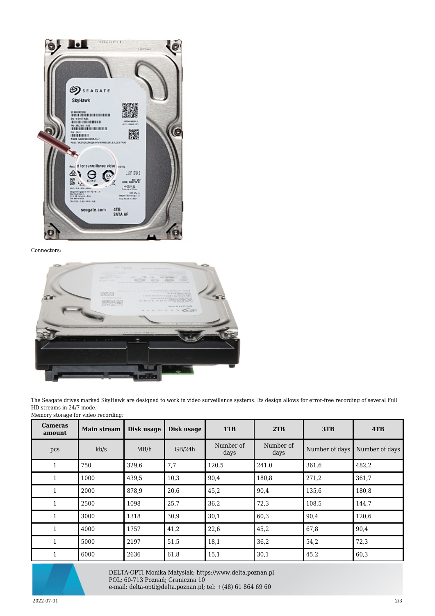

Connectors:



The Seagate drives marked SkyHawk are designed to work in video surveillance systems. Its design allows for error-free recording of several Full HD streams in 24/7 mode. Memory storage for video recording:

| <b>Cameras</b><br>amount | <b>Main stream</b> | Disk usage | Disk usage | 1TB               | 2TB               | 3TB            | 4TB            |
|--------------------------|--------------------|------------|------------|-------------------|-------------------|----------------|----------------|
| pcs                      | kb/s               | MB/h       | GB/24h     | Number of<br>days | Number of<br>days | Number of days | Number of days |
| $\mathbf{1}$             | 750                | 329,6      | 7,7        | 120,5             | 241,0             | 361,6          | 482,2          |
|                          | 1000               | 439,5      | 10,3       | 90,4              | 180,8             | 271,2          | 361,7          |
| $\mathbf{1}$             | 2000               | 878,9      | 20,6       | 45,2              | 90,4              | 135,6          | 180,8          |
| $\mathbf{1}$             | 2500               | 1098       | 25,7       | 36,2              | 72,3              | 108,5          | 144,7          |
| $\mathbf{1}$             | 3000               | 1318       | 30,9       | 30,1              | 60,3              | 90,4           | 120,6          |
| $\mathbf{1}$             | 4000               | 1757       | 41,2       | 22,6              | 45,2              | 67,8           | 90,4           |
| $\mathbf{1}$             | 5000               | 2197       | 51,5       | 18,1              | 36,2              | 54,2           | 72,3           |
| $\mathbf{1}$             | 6000               | 2636       | 61,8       | 15,1              | 30,1              | 45,2           | 60,3           |



DELTA-OPTI Monika Matysiak; https://www.delta.poznan.pl POL; 60-713 Poznań; Graniczna 10 e-mail: delta-opti@delta.poznan.pl; tel: +(48) 61 864 69 60